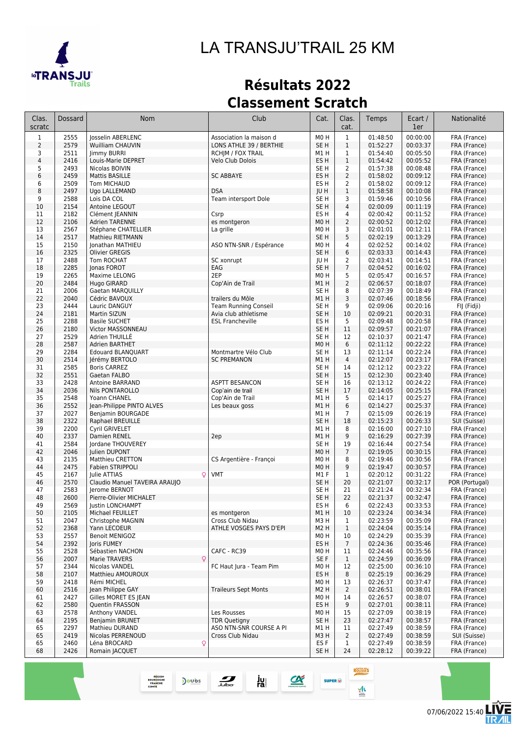

# *LA TRANSJU'TRAIL 25 KM*

# **Résultats 2022 Classement Scratch**

| Clas.<br>scratc | Dossard      | Nom                                            | Club                                            | Cat.                                | Clas.<br>cat.                    | Temps                | Ecart /<br>1er       | Nationalité                  |
|-----------------|--------------|------------------------------------------------|-------------------------------------------------|-------------------------------------|----------------------------------|----------------------|----------------------|------------------------------|
| $\mathbf{1}$    | 2555         | Josselin ABERLENC                              | Association la maison d                         | MO <sub>H</sub>                     | $\mathbf{1}$                     | 01:48:50             | 00:00:00             | FRA (France)                 |
| $\overline{2}$  | 2579         | Wuilliam CHAUVIN                               | LONS ATHLE 39 / BERTHIE                         | SE <sub>H</sub>                     | $\mathbf{1}$                     | 01:52:27             | 00:03:37             | FRA (France)                 |
| 3               | 2511         | Jimmy BURRI                                    | <b>RCHJM / FOX TRAIL</b>                        | M1H                                 | $\mathbf 1$                      | 01:54:40             | 00:05:50             | FRA (France)                 |
| $\overline{4}$  | 2416<br>2493 | Louis-Marie DEPRET                             | Velo Club Dolois                                | ES <sub>H</sub>                     | $\mathbf{1}$                     | 01:54:42<br>01:57:38 | 00:05:52<br>00:08:48 | FRA (France)                 |
| 5<br>6          | 2459         | Nicolas BOIVIN<br>Mattis BASILLE               | <b>SC ABBAYE</b>                                | SE H<br>ES H                        | $\overline{2}$<br>$\overline{2}$ | 01:58:02             | 00:09:12             | FRA (France)<br>FRA (France) |
| 6               | 2509         | Tom MICHAUD                                    |                                                 | ES H                                | $\overline{2}$                   | 01:58:02             | 00:09:12             | FRA (France)                 |
| 8               | 2497         | Ugo LALLEMAND                                  | <b>DSA</b>                                      | JU H                                | $\mathbf{1}$                     | 01:58:58             | 00:10:08             | FRA (France)                 |
| 9               | 2588         | Lois DA COL                                    | Team intersport Dole                            | SE <sub>H</sub>                     | 3                                | 01:59:46             | 00:10:56             | FRA (France)                 |
| $10$            | 2154         | Antoine LEGOUT                                 |                                                 | SE <sub>H</sub>                     | 4                                | 02:00:09             | 00:11:19             | FRA (France)                 |
| 11              | 2182         | Clément JEANNIN                                | Csrp                                            | ES <sub>H</sub>                     | 4                                | 02:00:42             | 00:11:52             | FRA (France)                 |
| 12              | 2106         | <b>Adrien TARENNE</b>                          | es montgeron                                    | M <sub>0</sub> H                    | $\overline{2}$                   | 02:00:52             | 00:12:02             | FRA (France)                 |
| 13<br>14        | 2567<br>2517 | Stéphane CHATELLIER<br><b>Mathieu RIETMANN</b> | La grille                                       | M <sub>0</sub> H<br>SE <sub>H</sub> | 3<br>5                           | 02:01:01<br>02:02:19 | 00:12:11<br>00:13:29 | FRA (France)<br>FRA (France) |
| 15              | 2150         | Jonathan MATHIEU                               | ASO NTN-SNR / Espérance                         | M <sub>0</sub> H                    | 4                                | 02:02:52             | 00:14:02             | FRA (France)                 |
| 16              | 2325         | <b>Olivier GREGIS</b>                          |                                                 | SE <sub>H</sub>                     | 6                                | 02:03:33             | 00:14:43             | FRA (France)                 |
| 17              | 2488         | Tom ROCHAT                                     | SC xonrupt                                      | JU H                                | 2                                | 02:03:41             | 00:14:51             | FRA (France)                 |
| 18              | 2285         | Jonas FOROT                                    | EAG                                             | SE <sub>H</sub>                     | $\overline{7}$                   | 02:04:52             | 00:16:02             | FRA (France)                 |
| 19              | 2265         | Maxime LELONG                                  | 2EP                                             | M <sub>0</sub> H                    | 5                                | 02:05:47             | 00:16:57             | FRA (France)                 |
| 20              | 2484         | Hugo GIRARD                                    | Cop'Ain de Trail                                | M1 H                                | $\overline{2}$                   | 02:06:57             | 00:18:07             | FRA (France)                 |
| 21              | 2006         | Gaetan MARQUILLY                               |                                                 | SE H                                | 8                                | 02:07:39             | 00:18:49             | FRA (France)                 |
| 22<br>23        | 2040<br>2444 | Cédric BAVOUX<br>Lauric DANGUY                 | trailers du Môle<br><b>Team Running Conseil</b> | M1H<br>SE H                         | 3<br>9                           | 02:07:46<br>02:09:06 | 00:18:56<br>00:20:16 | FRA (France)<br>FIJ (Fidji)  |
| 24              | 2181         | Martin SIZUN                                   | Avia club athletisme                            | SE <sub>H</sub>                     | 10                               | 02:09:21             | 00:20:31             | FRA (France)                 |
| 25              | 2288         | <b>Basile SUCHET</b>                           | <b>ESL Francheville</b>                         | ES H                                | 5                                | 02:09:48             | 00:20:58             | FRA (France)                 |
| 26              | 2180         | <b>Victor MASSONNEAU</b>                       |                                                 | SE <sub>H</sub>                     | 11                               | 02:09:57             | 00:21:07             | FRA (France)                 |
| 27              | 2529         | Adrien THUILLÉ                                 |                                                 | SE <sub>H</sub>                     | 12                               | 02:10:37             | 00:21:47             | FRA (France)                 |
| 28              | 2587         | Adrien BARTHET                                 |                                                 | M <sub>0</sub> H                    | 6                                | 02:11:12             | 00:22:22             | FRA (France)                 |
| 29              | 2284         | <b>Edouard BLANOUART</b>                       | Montmartre Vélo Club                            | SE H                                | 13                               | 02:11:14             | 00:22:24             | FRA (France)                 |
| 30              | 2514         | Jérémy BERTOLO                                 | <b>SC PREMANON</b>                              | M1H                                 | 4                                | 02:12:07             | 00:23:17             | FRA (France)                 |
| 31<br>32        | 2585<br>2551 | <b>Boris CARREZ</b><br>Gaetan FALBO            |                                                 | SE H<br>SE H                        | 14<br>15                         | 02:12:12<br>02:12:30 | 00:23:22<br>00:23:40 | FRA (France)<br>FRA (France) |
| 33              | 2428         | Antoine BARRAND                                | <b>ASPTT BESANCON</b>                           | SE <sub>H</sub>                     | 16                               | 02:13:12             | 00:24:22             | FRA (France)                 |
| 34              | 2036         | <b>Nils PONTAROLLO</b>                         | Cop'ain de trail                                | SE <sub>H</sub>                     | 17                               | 02:14:05             | 00:25:15             | FRA (France)                 |
| 35              | 2548         | Yoann CHANEL                                   | Cop'Ain de Trail                                | M1H                                 | 5                                | 02:14:17             | 00:25:27             | FRA (France)                 |
| 36              | 2552         | Jean-Philippe PINTO ALVES                      | Les beaux goss                                  | M1H                                 | 6                                | 02:14:27             | 00:25:37             | FRA (France)                 |
| 37              | 2027         | Benjamin BOURGADE                              |                                                 | M1H                                 | $\overline{7}$                   | 02:15:09             | 00:26:19             | FRA (France)                 |
| 38              | 2322         | Raphael BREUILLE                               |                                                 | SE <sub>H</sub>                     | 18                               | 02:15:23             | 00:26:33             | SUI (Suisse)                 |
| 39<br>40        | 2200<br>2337 | Cyril GRIVELET                                 |                                                 | M1H                                 | 8<br>9                           | 02:16:00<br>02:16:29 | 00:27:10<br>00:27:39 | FRA (France)                 |
| 41              | 2584         | Damien RENEL<br>Jordane THOUVEREY              | 2ep                                             | M1H<br>SE H                         | 19                               | 02:16:44             | 00:27:54             | FRA (France)<br>FRA (France) |
| 42              | 2046         | <b>Iulien DUPONT</b>                           |                                                 | M <sub>0</sub> H                    | $\overline{7}$                   | 02:19:05             | 00:30:15             | FRA (France)                 |
| 43              | 2135         | Matthieu CRETTON                               | CS Argentière - Françoi                         | M <sub>0</sub> H                    | 8                                | 02:19:46             | 00:30:56             | FRA (France)                 |
| 44              | 2475         | Fabien STRIPPOLI                               |                                                 | MO H                                | 9                                | 02:19:47             | 00:30:57             | FRA (France)                 |
| 45              | 2167         | Q<br>Julie ATTIAS                              | <b>VMT</b>                                      | M1F                                 | 1                                | 02:20:12             | 00:31:22             | FRA (France)                 |
| 46              | 2570         | Claudio Manuel TAVEIRA ARAUJO                  |                                                 | SE <sub>H</sub>                     | 20                               | 02:21:07             | 00:32:17             | POR (Portugal)               |
| 47              | 2583         | Jerome BERNOT                                  |                                                 | SE H                                | 21                               | 02:21:24             | 00:32:34             | FRA (France)                 |
| 48              | 2600         | Pierre-Olivier MICHALET                        |                                                 | SE <sub>H</sub>                     | 22                               | 02:21:37             | 00:32:47             | FRA (France)                 |
| 49<br>50        | 2569<br>2105 | <b>JUSTIN LONCHAMPI</b><br>Michael FEUILLET    | es montgeron                                    | ES H<br>M1H                         | b<br>10                          | 02:22:43<br>02:23:24 | 00:33:53<br>00:34:34 | FRA (France)<br>FRA (France) |
| 51              | 2047         | Christophe MAGNIN                              | Cross Club Nidau                                | M3H                                 | $\mathbf{1}$                     | 02:23:59             | 00:35:09             | FRA (France)                 |
| 52              | 2368         | Yann LECOEUR                                   | ATHLE VOSGES PAYS D'EPI                         | M <sub>2</sub> H                    | $\mathbf{1}$                     | 02:24:04             | 00:35:14             | FRA (France)                 |
| 53              | 2557         | <b>Benoit MENIGOZ</b>                          |                                                 | M <sub>0</sub> H                    | 10                               | 02:24:29             | 00:35:39             | FRA (France)                 |
| 54              | 2392         | Joris FUMEY                                    |                                                 | ES H                                | $\overline{7}$                   | 02:24:36             | 00:35:46             | FRA (France)                 |
| 55              | 2528         | Sébastien NACHON                               | CAFC - RC39                                     | M <sub>0</sub> H                    | 11                               | 02:24:46             | 00:35:56             | FRA (France)                 |
| 56              | 2007         | Marie TRAVERS<br>Q                             | FC Haut Jura - Team Pim                         | SE F                                | $\mathbf{1}$                     | 02:24:59             | 00:36:09             | FRA (France)                 |
| 57<br>58        | 2344<br>2107 | Nicolas VANDEL<br>Matthieu AMOUROUX            |                                                 | M <sub>0</sub> H<br>ES H            | 12<br>8                          | 02:25:00<br>02:25:19 | 00:36:10<br>00:36:29 | FRA (France)<br>FRA (France) |
| 59              | 2418         | Rémi MICHEL                                    |                                                 | M <sub>0</sub> H                    | 13                               | 02:26:37             | 00:37:47             | FRA (France)                 |
| 60              | 2516         | Jean Philippe GAY                              | <b>Traileurs Sept Monts</b>                     | M <sub>2</sub> H                    | $\overline{2}$                   | 02:26:51             | 00:38:01             | FRA (France)                 |
| 61              | 2427         | Gilles MORET ES JEAN                           |                                                 | M <sub>0</sub> H                    | 14                               | 02:26:57             | 00:38:07             | FRA (France)                 |
| 62              | 2580         | Quentin FRASSON                                |                                                 | ES H                                | 9                                | 02:27:01             | 00:38:11             | FRA (France)                 |
| 63              | 2578         | Anthony VANDEL                                 | Les Rousses                                     | M <sub>0</sub> H                    | 15                               | 02:27:09             | 00:38:19             | FRA (France)                 |
| 64              | 2195         | Benjamin BRUNET                                | <b>TDR Quetigny</b>                             | SE H                                | 23                               | 02:27:47             | 00:38:57             | FRA (France)                 |
| 65              | 2297         | Mathieu DURAND                                 | ASO NTN-SNR COURSE A PI                         | M1 H                                | 11                               | 02:27:49             | 00:38:59             | FRA (France)                 |
| 65<br>65        | 2419<br>2460 | Nicolas PERRENOUD<br>Léna BROCARD<br>Q         | Cross Club Nidau                                | M3H<br>ES F                         | $\overline{2}$<br>$\mathbf{1}$   | 02:27:49<br>02:27:49 | 00:38:59<br>00:38:59 | SUI (Suisse)<br>FRA (France) |
| 68              | 2426         | Romain JACQUET                                 |                                                 | SE H                                | 24                               | 02:28:12             | 00:39:22             | FRA (France)                 |
|                 |              |                                                |                                                 |                                     |                                  |                      |                      |                              |

ju<br>ra

 $\alpha$ 

SUPER (D)

 $\sum_{\text{bulbo}}$ 

REGION<br>BOURGOGNE<br>FRANCHE<br>COMTE

Joubs

Ē

**ROUSSES** 

 $\frac{1}{2}$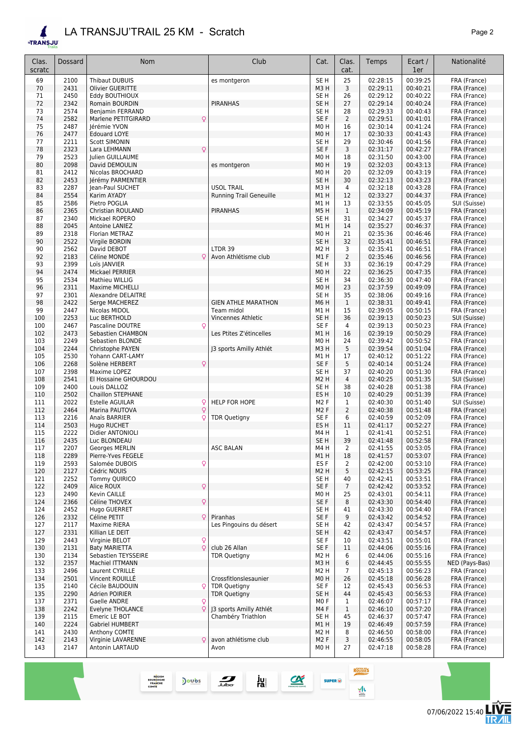#### *LA TRANSJU'TRAIL 25 KM - Scratch Page 2*  $\blacktriangle$

REGION<br>BOURGOGNE<br>FRANCHE<br>COMTE

Doubs

**ETRANSJU** 

| Clas.<br>scratc | Dossard      | Nom                                                | Club                           | Cat.                     | Clas.<br>cat.        | Temps                | Ecart /<br>1er       | Nationalité                  |
|-----------------|--------------|----------------------------------------------------|--------------------------------|--------------------------|----------------------|----------------------|----------------------|------------------------------|
| 69              | 2100         | Thibaut DUBUIS                                     |                                | SE <sub>H</sub>          | 25                   | 02:28:15             | 00:39:25             | FRA (France)                 |
| 70              | 2431         | Olivier GUERITTE                                   | es montgeron                   | M3H                      | 3                    | 02:29:11             | 00:40:21             | FRA (France)                 |
| 71              | 2450         | Eddy BOUTHIOUX                                     |                                | SE H                     | 26                   | 02:29:12             | 00:40:22             | FRA (France)                 |
| 72              | 2342         | Romain BOURDIN                                     | <b>PIRANHAS</b>                | SE <sub>H</sub>          | 27                   | 02:29:14             | 00:40:24             | FRA (France)                 |
| 73              | 2574         | Benjamin FERRAND                                   |                                | SE H                     | 28                   | 02:29:33             | 00:40:43             | FRA (France)                 |
| 74              | 2582         | Q<br>Marlene PETITGIRARD                           |                                | SE F                     | $\overline{2}$       | 02:29:51             | 00:41:01             | FRA (France)                 |
| 75<br>76        | 2487<br>2477 | Jérémie YVON<br><b>Edouard LOYE</b>                |                                | M0H<br>M0H               | 16<br>17             | 02:30:14<br>02:30:33 | 00:41:24<br>00:41:43 | FRA (France)<br>FRA (France) |
| 77              | 2211         | <b>Scott SIMONIN</b>                               |                                | SE <sub>H</sub>          | 29                   | 02:30:46             | 00:41:56             | FRA (France)                 |
| 78              | 2323         | Q<br>Lara LEHMANN                                  |                                | SE F                     | 3                    | 02:31:17             | 00:42:27             | FRA (France)                 |
| 79              | 2523         | Julien GUILLAUME                                   |                                | M0H                      | 18                   | 02:31:50             | 00:43:00             | FRA (France)                 |
| 80              | 2098         | David DEMOULIN                                     | es montgeron                   | M0H                      | 19                   | 02:32:03             | 00:43:13             | FRA (France)                 |
| 81              | 2412         | Nicolas BROCHARD                                   |                                | M0H                      | 20                   | 02:32:09             | 00:43:19             | FRA (France)                 |
| 82<br>83        | 2453<br>2287 | Jérémy PARMENTIER<br>Jean-Paul SUCHET              | <b>USOL TRAIL</b>              | SE <sub>H</sub><br>M3H   | 30<br>$\overline{4}$ | 02:32:13<br>02:32:18 | 00:43:23<br>00:43:28 | FRA (France)<br>FRA (France) |
| 84              | 2554         | Karim AYADY                                        | <b>Running Trail Geneuille</b> | M1H                      | 12                   | 02:33:27             | 00:44:37             | FRA (France)                 |
| 85              | 2586         | Pietro POGLIA                                      |                                | M1 H                     | 13                   | 02:33:55             | 00:45:05             | SUI (Suisse)                 |
| 86              | 2365         | Christian ROULAND                                  | <b>PIRANHAS</b>                | M5H                      | $\mathbf{1}$         | 02:34:09             | 00:45:19             | FRA (France)                 |
| 87              | 2340         | Mickael ROPERO                                     |                                | SE H                     | 31                   | 02:34:27             | 00:45:37             | FRA (France)                 |
| 88              | 2045         | Antoine LANIEZ                                     |                                | M1H                      | 14                   | 02:35:27             | 00:46:37             | FRA (France)                 |
| 89<br>90        | 2318<br>2522 | Florian METRAZ<br>Virgile BORDIN                   |                                | M0H<br>SE <sub>H</sub>   | 21<br>32             | 02:35:36<br>02:35:41 | 00:46:46<br>00:46:51 | FRA (France)<br>FRA (France) |
| 90              | 2562         | David DEBOT                                        | LTDR 39                        | M2 H                     | 3                    | 02:35:41             | 00:46:51             | FRA (France)                 |
| 92              | 2183         | Céline MONDE<br>C                                  | Avon Athlétisme club           | M1F                      | $\overline{2}$       | 02:35:46             | 00:46:56             | FRA (France)                 |
| 93              | 2399         | Loïs JANVIER                                       |                                | SE <sub>H</sub>          | 33                   | 02:36:19             | 00:47:29             | FRA (France)                 |
| 94              | 2474         | Mickael PERRIER                                    |                                | M0H                      | 22                   | 02:36:25             | 00:47:35             | FRA (France)                 |
| 95              | 2534         | Mathieu WILLIG                                     |                                | SE H                     | 34                   | 02:36:30             | 00:47:40             | FRA (France)                 |
| 96              | 2311         | <b>Maxime MICHELLI</b>                             |                                | M0H                      | 23                   | 02:37:59             | 00:49:09             | FRA (France)                 |
| 97<br>98        | 2301<br>2422 | Alexandre DELAITRE<br>Serge MACHEREZ               | <b>GIEN ATHLE MARATHON</b>     | SE H<br>M6H              | 35<br>$\mathbf{1}$   | 02:38:06<br>02:38:31 | 00:49:16<br>00:49:41 | FRA (France)<br>FRA (France) |
| 99              | 2447         | Nicolas MIDOL                                      | Team midol                     | M1 H                     | 15                   | 02:39:05             | 00:50:15             | FRA (France)                 |
| 100             | 2253         | Luc BERTHOLD                                       | Vincennes Athletic             | SE H                     | 36                   | 02:39:13             | 00:50:23             | SUI (Suisse)                 |
| 100             | 2467         | Pascaline DOUTRE<br>Ç                              |                                | SE <sub>F</sub>          | 4                    | 02:39:13             | 00:50:23             | FRA (France)                 |
| 102             | 2473         | Sebastien CHAMBON                                  | Les Ptites Z'étincelles        | M1H                      | 16                   | 02:39:19             | 00:50:29             | FRA (France)                 |
| 103             | 2249         | Sebastien BLONDE                                   |                                | M0H                      | 24                   | 02:39:42             | 00:50:52             | FRA (France)                 |
| 104<br>105      | 2244<br>2530 | Christophe PAYEN<br>Yohann CART-LAMY               | 13 sports Amilly Athlét        | M3H<br>M1 H              | 5<br>17              | 02:39:54<br>02:40:12 | 00:51:04<br>00:51:22 | FRA (France)<br>FRA (France) |
| 106             | 2268         | Solène HERBERT<br>Q                                |                                | SE F                     | 5                    | 02:40:14             | 00:51:24             | FRA (France)                 |
| 107             | 2398         | Maxime LOPEZ                                       |                                | SE H                     | 37                   | 02:40:20             | 00:51:30             | FRA (France)                 |
| 108             | 2541         | El Hossaine GHOURDOU                               |                                | M2 H                     | $\overline{4}$       | 02:40:25             | 00:51:35             | SUI (Suisse)                 |
| 109             | 2400         | Louis DALLOZ                                       |                                | SE H                     | 38                   | 02:40:28             | 00:51:38             | FRA (France)                 |
| 110             | 2502         | Chaillon STEPHANE                                  |                                | ES H                     | 10                   | 02:40:29             | 00:51:39             | FRA (France)                 |
| 111<br>112      | 2022<br>2464 | <b>Estelle AGUILAR</b><br>ç<br>Q<br>Marina PAUTOVA | <b>HELP FOR HOPE</b>           | M2 F<br>M <sub>2</sub> F | 1<br>$\overline{2}$  | 02:40:30<br>02:40:38 | 00:51:40<br>00:51:48 | SUI (Suisse)<br>FRA (France) |
| 113             | 2216         | Anaïs BARRIER<br>Ç                                 | <b>TDR Quetigny</b>            | SE F                     | 6                    | 02:40:59             | 00:52:09             | FRA (France)                 |
| 114             | 2503         | Hugo RUCHET                                        |                                | ES <sub>H</sub>          | 11                   | 02:41:17             | 00:52:27             | FRA (France)                 |
| 115             | 2222         | Didier ANTONIOLI                                   |                                | M4 H                     | 1                    | 02:41:41             | 00:52:51             | FRA (France)                 |
| 116             | 2435         | Luc BLONDEAU                                       |                                | SE <sub>H</sub>          | 39                   | 02:41:48             | 00:52:58             | FRA (France)                 |
| 117             | 2207         | Georges MERLIN                                     | <b>ASC BALAN</b>               | M4H                      | $\overline{2}$       | 02:41:55             | 00:53:05             | FRA (France)                 |
| 118<br>119      | 2289         | Pierre-Yves FEGELE<br>Salomée DUBOIS               |                                | M1H<br>ES <sub>F</sub>   | 18                   | 02:41:57<br>02:42:00 | 00:53:07<br>00:53:10 | FRA (France)<br>FRA (France) |
| 120             | 2593<br>2127 | Q<br>Cédric NOUIS                                  |                                | M2 H                     | $\overline{2}$<br>5  | 02:42:15             | 00:53:25             | FRA (France)                 |
| 121             | 2252         | Tommy QUIRICO                                      |                                | SE H                     | 40                   | 02:42:41             | 00:53:51             | FRA (France)                 |
| 122             | 2409         | Q<br>Alice ROUX                                    |                                | SE F                     | $\overline{7}$       | 02:42:42             | 00:53:52             | FRA (France)                 |
| 123             | 2490         | Kevin CAILLE                                       |                                | MO H                     | 25                   | 02:43:01             | 00:54:11             | FRA (France)                 |
| 124             | 2366         | Q<br>Céline THOVEX                                 |                                | SE F                     | 8                    | 02:43:30             | 00:54:40             | FRA (France)                 |
| 124             | 2452         | Hugo GUERRET<br>Q                                  | Piranhas                       | SE H<br>SE F             | 41<br>9              | 02:43:30<br>02:43:42 | 00:54:40<br>00:54:52 | FRA (France)                 |
| 126<br>127      | 2332<br>2117 | Céline PETIT<br>Maxime RIERA                       | Les Pingouins du désert        | SE H                     | 42                   | 02:43:47             | 00:54:57             | FRA (France)<br>FRA (France) |
| 127             | 2331         | Killian LE DEIT                                    |                                | SE <sub>H</sub>          | 42                   | 02:43:47             | 00:54:57             | FRA (France)                 |
| 129             | 2443         | Virginie BELOT<br>Q                                |                                | SE F                     | 10                   | 02:43:51             | 00:55:01             | FRA (France)                 |
| 130             | 2131         | $\mathsf{Q}$<br><b>Baty MARIETTA</b>               | club 26 Allan                  | SE F                     | 11                   | 02:44:06             | 00:55:16             | FRA (France)                 |
| 130             | 2134         | Sebastien TEYSSEIRE                                | <b>TDR Quetigny</b>            | M2 H                     | 6                    | 02:44:06             | 00:55:16             | FRA (France)                 |
| 132             | 2357         | Machiel ITTMANN                                    |                                | M3H                      | 6                    | 02:44:45             | 00:55:55             | NED (Pays-Bas)               |
| 133<br>134      | 2496<br>2501 | Laurent CYRILLE<br>Vincent ROUILLÉ                 | Crossfitlonslesaunier          | M2 H<br>MO H             | 7<br>26              | 02:45:13<br>02:45:18 | 00:56:23<br>00:56:28 | FRA (France)<br>FRA (France) |
| 135             | 2140         | Ç<br>Cécile BAUDOUIN                               | <b>TDR Quetigny</b>            | SE F                     | 12                   | 02:45:43             | 00:56:53             | FRA (France)                 |
| 135             | 2290         | Adrien POIRIER                                     | <b>TDR Quetigny</b>            | SE H                     | 44                   | 02:45:43             | 00:56:53             | FRA (France)                 |
| 137             | 2371         | Gaelle ANDRE<br>Ç                                  |                                | MO F                     | 1                    | 02:46:07             | 00:57:17             | FRA (France)                 |
| 138             | 2242         | Q<br>Evelyne THOLANCE                              | J3 sports Amilly Athlét        | M4 F                     | $\mathbf{1}$         | 02:46:10             | 00:57:20             | FRA (France)                 |
| 139             | 2115         | Emeric LE BOT                                      | Chambéry Triathlon             | SE H                     | 45                   | 02:46:37             | 00:57:47             | FRA (France)                 |
| 140             | 2224         | <b>Gabriel HUMBERT</b>                             |                                | M1H                      | 19                   | 02:46:49             | 00:57:59             | FRA (France)                 |
| 141<br>142      | 2430<br>2143 | Anthony COMTE<br>Virginie LAVARENNE                | avon athlétisme club           | M2 H<br>M <sub>2</sub> F | 8<br>3               | 02:46:50<br>02:46:55 | 00:58:00<br>00:58:05 | FRA (France)<br>FRA (France) |
| 143             | 2147         | Antonin LARTAUD                                    | Avon                           | M0H                      | 27                   | 02:47:18             | 00:58:28             | FRA (France)                 |
|                 |              |                                                    |                                |                          |                      |                      |                      |                              |

ROUSSES

 $\frac{1}{2}$ 

 $SUPER$   $@$ 

 $\begin{array}{c}\n\bullet \\
\hline\n\text{PROOF}-\text{CDF}^2\n\end{array}$ 

 $\frac{1}{\sqrt{2}}$ 

ju<br>ral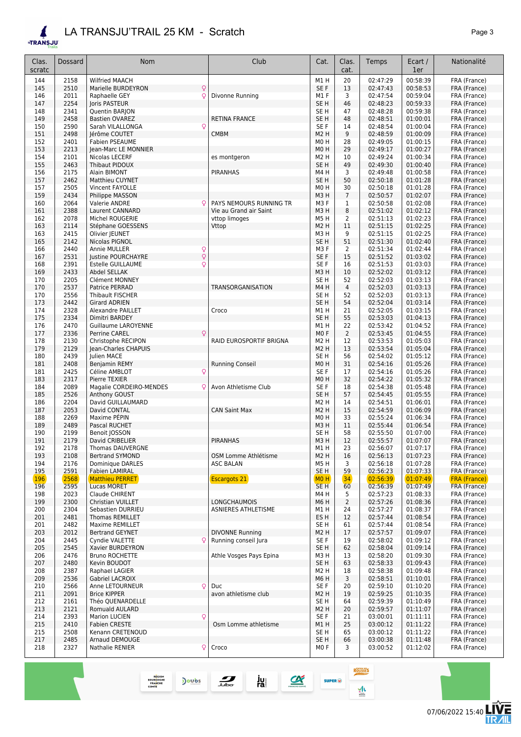®TR

| <b>TRANSJU</b>  |              | LA TRANSJU'TRAIL 25 KM - Scratch         |                           |                                     |                |                      |                      | Page 3                       |
|-----------------|--------------|------------------------------------------|---------------------------|-------------------------------------|----------------|----------------------|----------------------|------------------------------|
| Clas.<br>scratc | Dossard      | Nom                                      | Club                      | Cat.                                | Clas.<br>cat.  | Temps                | Ecart /<br>1er       | Nationalité                  |
| 144             | 2158         | <b>Wilfried MAACH</b>                    |                           | M1H                                 | 20             | 02:47:29             | 00:58:39             | FRA (France)                 |
| 145             | 2510         | Marielle BURDEYRON                       | Q                         | SE F                                | 13             | 02:47:43             | 00:58:53             | FRA (France)                 |
| 146             | 2011         | Raphaelle GEY                            | Divonne Running<br>Q      | M1F                                 | 3              | 02:47:54             | 00:59:04             | FRA (France)                 |
| 147             | 2254         | Joris PASTEUR                            |                           | SE <sub>H</sub>                     | 46             | 02:48:23             | 00:59:33             | FRA (France)                 |
| 148             | 2341         | Quentin BARJON                           |                           | SE H                                | 47             | 02:48:28             | 00:59:38             | FRA (France)                 |
| 149             | 2458         | <b>Bastien OVAREZ</b>                    | RETINA FRANCE             | SE <sub>H</sub>                     | 48             | 02:48:51             | 01:00:01             | FRA (France)                 |
| 150             | 2590         | Sarah VILALLONGA                         | Q                         | SE F                                | 14             | 02:48:54             | 01:00:04             | FRA (France)                 |
| 151             | 2498         | Jérôme COUTET                            | <b>CMBM</b>               | M <sub>2</sub> H                    | 9              | 02:48:59             | 01:00:09             | FRA (France)                 |
| 152             | 2401         | Fabien PSEAUME                           |                           | M <sub>0</sub> H                    | 28             | 02:49:05             | 01:00:15             | FRA (France)                 |
| 153             | 2213         | Jean-Marc LE MONNIER                     |                           | M <sub>0</sub> H                    | 29             | 02:49:17             | 01:00:27             | FRA (France)                 |
| 154             | 2101         | Nicolas LECERF                           | es montgeron              | M <sub>2</sub> H                    | 10             | 02:49:24             | 01:00:34             | FRA (France)                 |
| 155             | 2463         | Thibaut PIDOUX                           |                           | SE <sub>H</sub>                     | 49             | 02:49:30             | 01:00:40             | FRA (France)                 |
| 156             | 2175         | Alain BIMONT                             | <b>PIRANHAS</b>           | M4H                                 | 3              | 02:49:48             | 01:00:58             | FRA (France)                 |
| 157<br>157      | 2462<br>2505 | Matthieu CUYNET                          |                           | SE <sub>H</sub><br>M <sub>0</sub> H | 50<br>30       | 02:50:18<br>02:50:18 | 01:01:28<br>01:01:28 | FRA (France)                 |
| 159             | 2434         | Vincent FAYOLLE                          |                           | M3H                                 | $\overline{7}$ | 02:50:57             | 01:02:07             | FRA (France)<br>FRA (France) |
| 160             | 2064         | Philippe MASSON<br>Valerie ANDRE         | PAYS NEMOURS RUNNING TR   | M3F                                 | 1              | 02:50:58             | 01:02:08             | FRA (France)                 |
| 161             | 2388         | Laurent CANNARD                          | Vie au Grand air Saint    | M3H                                 | 8              | 02:51:02             | 01:02:12             | FRA (France)                 |
| 162             | 2078         | Michel ROUGERIE                          | vttop limoges             | M5H                                 | 2              | 02:51:13             | 01:02:23             | FRA (France)                 |
| 163             | 2114         | Stéphane GOESSENS                        | Vttop                     | M <sub>2</sub> H                    | 11             | 02:51:15             | 01:02:25             | FRA (France)                 |
| 163             | 2415         | Olivier JEUNET                           |                           | M3H                                 | 9              | 02:51:15             | 01:02:25             | FRA (France)                 |
| 165             | 2142         | Nicolas PIGNOL                           |                           | SE <sub>H</sub>                     | 51             | 02:51:30             | 01:02:40             | FRA (France)                 |
| 166             | 2440         | Annie MULLER                             | Q                         | M3F                                 | 2              | 02:51:34             | 01:02:44             | FRA (France)                 |
| 167             | 2531         | Justine POURCHAYRE                       | Q                         | SE F                                | 15             | 02:51:52             | 01:03:02             | FRA (France)                 |
| 168             | 2391         | <b>Estelle GUILLAUME</b>                 | Q                         | SE F                                | 16             | 02:51:53             | 01:03:03             | FRA (France)                 |
| 169             | 2433         | Abdel SELLAK                             |                           | M3H                                 | 10             | 02:52:02             | 01:03:12             | FRA (France)                 |
| 170             | 2205         | Clément MONNEY                           |                           | SE <sub>H</sub>                     | 52             | 02:52:03             | 01:03:13             | FRA (France)                 |
| 170             | 2537         | Patrice PERRAD                           | TRANSORGANISATION         | M4H                                 | 4              | 02:52:03             | 01:03:13             | FRA (France)                 |
| 170             | 2556         | Thibault FISCHER                         |                           | SE H                                | 52             | 02:52:03             | 01:03:13             | FRA (France)                 |
| 173             | 2442         | <b>Girard ADRIEN</b>                     |                           | SE <sub>H</sub>                     | 54             | 02:52:04             | 01:03:14             | FRA (France)                 |
| 174             | 2328         | Alexandre PAILLET                        | Croco                     | M1H                                 | 21             | 02:52:05             | 01:03:15             | FRA (France)                 |
| 175             | 2334         | Dimitri BARDEY                           |                           | SE <sub>H</sub>                     | 55             | 02:53:03             | 01:04:13             | FRA (France)                 |
| 176             | 2470         | Guillaume LAROYENNE                      |                           | M1H                                 | 22             | 02:53:42             | 01:04:52             | FRA (France)                 |
| 177             | 2336         | Perrine CAREL                            | Q                         | MO <sub>F</sub>                     | 2              | 02:53:45             | 01:04:55             | FRA (France)                 |
| 178             | 2130         | Christophe RECIPON                       | RAID EUROSPORTIF BRIGNA   | M <sub>2</sub> H                    | 12             | 02:53:53             | 01:05:03             | FRA (France)                 |
| 179             | 2129         | Jean-Charles CHAPUIS                     |                           | M <sub>2</sub> H                    | 13             | 02:53:54             | 01:05:04             | FRA (France)                 |
| 180             | 2439         | Julien MACE                              |                           | SE <sub>H</sub>                     | 56             | 02:54:02             | 01:05:12             | FRA (France)                 |
| 181             | 2408         | <b>Benjamin REMY</b>                     | <b>Running Conseil</b>    | M <sub>0</sub> H                    | 31             | 02:54:16             | 01:05:26             | FRA (France)                 |
| 181             | 2425         | Céline AMBLOT                            | ç                         | SE F                                | 17             | 02:54:16             | 01:05:26             | FRA (France)                 |
| 183             | 2317         | Pierre TEXIER                            | Avon Athletisme Club      | M <sub>0</sub> H<br>SE F            | 32<br>18       | 02:54:22<br>02:54:38 | 01:05:32             | FRA (France)                 |
| 184<br>185      | 2089<br>2526 | Magalie CORDEIRO-MENDES<br>Anthony GOUST | Q                         | SE <sub>H</sub>                     | 57             | 02:54:45             | 01:05:48<br>01:05:55 | FRA (France)<br>FRA (France) |
| 186             | 2204         | David GUILLAUMARD                        |                           | M <sub>2</sub> H                    | 14             | 02:54:51             | 01:06:01             | FRA (France)                 |
| 187             | 2053         | David CONTAL                             | <b>CAN Saint Max</b>      | M <sub>2</sub> H                    | 15             | 02:54:59             | 01:06:09             | FRA (France)                 |
| 188             | 2269         | Maxime PEPIN                             |                           | MO H                                | 33             | 02:55:24             | 01:06:34             | FRA (France)                 |
| 189             | 2489         | Pascal RUCHET                            |                           | M3H                                 | 11             | 02:55:44             | 01:06:54             | FRA (France)                 |
| 190             | 2199         | Benoit JOSSON                            |                           | SE H                                | 58             | 02:55:50             | 01:07:00             | FRA (France)                 |
| 191             | 2179         | David CRIBELIER                          | <b>PIRANHAS</b>           | M3H                                 | 12             | 02:55:57             | 01:07:07             | FRA (France)                 |
| 192             | 2178         | Thomas DAUVERGNE                         |                           | M1H                                 | 23             | 02:56:07             | 01:07:17             | FRA (France)                 |
| 193             | 2108         | <b>Bertrand SYMOND</b>                   | OSM Lomme Athlétisme      | M <sub>2</sub> H                    | 16             | 02:56:13             | 01:07:23             | FRA (France)                 |
| 194             | 2176         | Dominique DARLES                         | <b>ASC BALAN</b>          | M5H                                 | 3              | 02:56:18             | 01:07:28             | FRA (France)                 |
| 195             | 2591         | <b>Fabien LAMIRAL</b>                    |                           | SE <sub>H</sub>                     | 59             | 02:56:23             | 01:07:33             | FRA (France)                 |
| <b>196</b>      | 2568         | <b>Matthieu PERRET</b>                   | <b>Escargots 21</b>       | MO <sub>H</sub>                     | 34             | 02:56:39             | 01:07:49             | <b>FRA (France)</b>          |
| 196             | 2595         | <b>Lucas MORET</b>                       |                           | SE <sub>H</sub>                     | 60             | 02:56:39             | 01:07:49             | FRA (France)                 |
| 198             | 2023         | Claude CHIRENT                           |                           | M4H                                 | 5              | 02:57:23             | 01:08:33             | FRA (France)                 |
| 199             | 2300         | Christian VUILLET                        | LONGCHAUMOIS              | M6H                                 | $\overline{2}$ | 02:57:26             | 01:08:36             | FRA (France)                 |
| 200             | 2304         | Sebastien DURRIEU                        | ASNIERES ATHLETISME       | M1H                                 | 24             | 02:57:27             | 01:08:37             | FRA (France)                 |
| 201             | 2481         | Thomas REMILLET                          |                           | ES <sub>H</sub>                     | 12             | 02:57:44             | 01:08:54             | FRA (France)                 |
| 201             | 2482         | Maxime REMILLET                          |                           | SE <sub>H</sub>                     | 61             | 02:57:44             | 01:08:54             | FRA (France)                 |
| 203             | 2012         | Bertrand GEYNET                          | <b>DIVONNE Running</b>    | M <sub>2</sub> H                    | 17             | 02:57:57             | 01:09:07             | FRA (France)                 |
| 204             | 2445         | Cyndie VALETTE                           | Running conseil Jura<br>Q | SE F                                | 19             | 02:58:02             | 01:09:12             | FRA (France)                 |
| 205             | 2545         | Xavier BURDEYRON                         |                           | SE H                                | 62             | 02:58:04             | 01:09:14             | FRA (France)                 |

206 2476 Bruno ROCHETTE Athle Vosges Pays Epina M3 H 13 02:58:20 01:09:30 FRA (France)<br>207 2480 Kevin BOUDOT RA (France) 2480 Kevin BOUDOT SE H 63 02:58:33 01:09:43 FRA (France) 2387 Raphael LAGIER M2 H 18 02:58:38 01:09:48 FRA (France) 209 2536 Gabriel LACROIX **M6 H 3 02:58:51 01:10:01** FRA (France) 210 2566 Anne LETOURNEUR ♀ Duc <br>211 2091 Brice KIPPER and Service are a service and a service are a service and a service are a service and thetisme club<br>211 2091 Brice KIPPER **and Service and Service and Service Are a** s 211 2091 Brice KIPPER 2001 avon athletisme club M2 H 19 02:59:25 01:10:35 FRA (France)<br>212 2161 Théo QUENARDELLE 2001 avon athletisme club SE H 64 02:59:39 01:10:49 FRA (France) 212 2161 Théo QUENARDELLE (2161 Théo QUENARDELLE ) 213 2121 Romuald AULARD (2159:39 01:10:49 FRA (France) 2121 Romuald AULARD M2 H 20 02:59:57 01:11:07 FRA (France) 2393 Marion LUCIEN *♀* SE F 21 03:00:01 01:11:11 FRA (France) 215 2410 Fabien CRESTE CHESTE CSM Lomme athletisme M1 H 25 03:00:12 01:11:22 FRA (France)<br>215 2508 Kenann CRETENOUD 215 2508 Kenann CRETENOUD<br>217 2485 Arnaud DEMOUGE 217 2485 Arnaud DEMOUGE 217 2485 Arnaud DEMOUGE 217 2485 Arnaud DEMOUGE 2485 Arnaud DEMOUGE SE H 66 03:00:38 01:11:48 FRA (France) 2327 Nathalie RENIER *♀* Croco M0 F 3 03:00:52 01:12:02 FRA (France)

ju<br>ra

 $\frac{1}{\sqrt{2}}$ 

Doubs

REGION<br>BOURGOGNI<br>FRANCHE<br>COMTE

 $\alpha$ 

**ROUSSES** 

 $M$ 

**SUPER** <sup>O</sup>

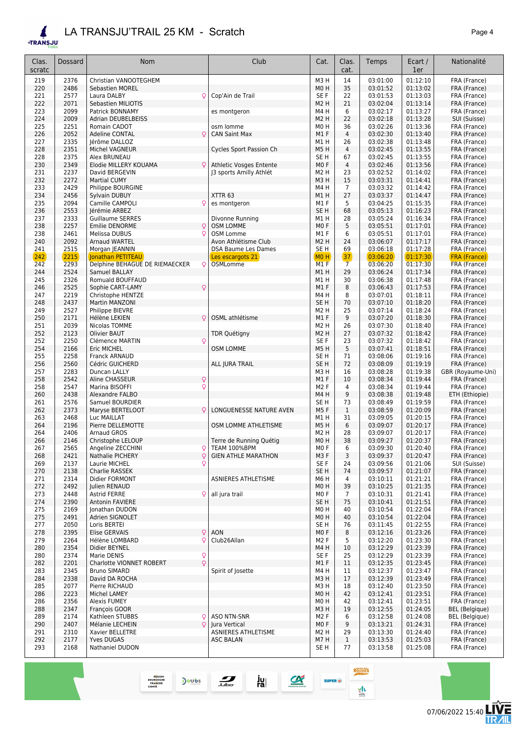**FTRAN** 

| <b>TRANSJU</b> |              |                                                |                                     |                         |                |                      |                      |                                     |
|----------------|--------------|------------------------------------------------|-------------------------------------|-------------------------|----------------|----------------------|----------------------|-------------------------------------|
| Clas.          | Dossard      | Nom                                            | Club                                | Cat.                    | Clas.          | Temps                | Ecart /              | Nationalité                         |
| scratc         |              |                                                |                                     |                         | cat.           |                      | 1er                  |                                     |
| 219            | 2376         | Christian VANOOTEGHEM                          |                                     | M <sub>3</sub> H        | 14             | 03:01:00             | 01:12:10             | FRA (France)                        |
| 220            | 2486         | <b>Sebastien MOREL</b>                         |                                     | M <sub>0</sub> H        | 35             | 03:01:52             | 01:13:02             | FRA (France)                        |
| 221            | 2577         | Laura DALBY<br>Q                               | Cop'Ain de Trail                    | SE F                    | 22             | 03:01:53             | 01:13:03             | FRA (France)                        |
| 222<br>223     | 2071<br>2099 | Sebastien MILIOTIS                             |                                     | M <sub>2</sub> H<br>M4H | 21<br>6        | 03:02:04             | 01:13:14<br>01:13:27 | FRA (France)                        |
| 224            | 2009         | Patrick BONNAMY<br><b>Adrian DEUBELBEISS</b>   | es montgeron                        | M <sub>2</sub> H        | 22             | 03:02:17<br>03:02:18 | 01:13:28             | FRA (France)<br>SUI (Suisse)        |
| 225            | 2251         | Romain CADOT                                   | osm lomme                           | M <sub>0</sub> H        | 36             | 03:02:26             | 01:13:36             | FRA (France)                        |
| 226            | 2052         | Adeline CONTAL<br>Q                            | <b>CAN Saint Max</b>                | M1F                     | 4              | 03:02:30             | 01:13:40             | FRA (France)                        |
| 227            | 2335         | Jérôme DALLOZ                                  |                                     | M1H                     | 26             | 03:02:38             | 01:13:48             | FRA (France)                        |
| 228            | 2351         | Michel VAGNEUR                                 | Cycles Sport Passion Ch             | <b>M5H</b>              | $\overline{4}$ | 03:02:45             | 01:13:55             | FRA (France)                        |
| 228            | 2375         | Alex BRUNEAU                                   |                                     | SE <sub>H</sub>         | 67             | 03:02:45             | 01:13:55             | FRA (France)                        |
| 230            | 2349         | Elodie MILLERY KOUAMA                          | Athletic Vosges Entente             | M <sub>0</sub> F        | 4              | 03:02:46             | 01:13:56             | FRA (France)                        |
| 231            | 2237         | David BERGEVIN                                 | 13 sports Amilly Athlét             | M <sub>2</sub> H        | 23             | 03:02:52             | 01:14:02             | FRA (France)                        |
| 232            | 2272         | <b>Martial CUMY</b>                            |                                     | M <sub>3</sub> H        | 15             | 03:03:31             | 01:14:41             | FRA (France)                        |
| 233            | 2429         | Philippe BOURGINE                              |                                     | M4H                     | 7              | 03:03:32             | 01:14:42             | FRA (France)                        |
| 234            | 2456         | Sylvain DUBUY                                  | XTTR <sub>63</sub>                  | M1H                     | 27             | 03:03:37             | 01:14:47             | FRA (France)                        |
| 235            | 2094         | Camille CAMPOLI<br>Q                           | es montgeron                        | M1 F                    | 5              | 03:04:25             | 01:15:35             | FRA (France)                        |
| 236            | 2553         | Jérémie ARBEZ                                  |                                     | SE <sub>H</sub>         | 68             | 03:05:13             | 01:16:23             | FRA (France)                        |
| 237            | 2333         | <b>Guillaume SERRES</b>                        | Divonne Running                     | M1H                     | 28             | 03:05:24             | 01:16:34             | FRA (France)                        |
| 238            | 2257         | Q<br><b>Emilie DENORME</b>                     | <b>OSM LOMME</b>                    | M <sub>0</sub> F        | 5              | 03:05:51             | 01:17:01             | FRA (France)                        |
| 238            | 2461         | Melissa DUBUS<br>Q                             | OSM Lomme                           | M1F                     | 6              | 03:05:51             | 01:17:01             | FRA (France)                        |
| 240            | 2092         | Arnaud WARTEL                                  | Avon Athlétisme Club                | M <sub>2</sub> H        | 24             | 03:06:07             | 01:17:17             | FRA (France)                        |
| 241<br>242     | 2515<br>2215 | Morgan JEANNIN<br>Jonathan PETITEAU            | <b>DSA Baume Les Dames</b>          | SE <sub>H</sub><br>MOH  | 69<br>37       | 03:06:18<br>03:06:20 | 01:17:28<br>01:17:30 | FRA (France)                        |
| 242            | 2293         | Delphine BEHAGUE DE RIEMAECKER<br>Q            | Les escargots 21<br><b>OSMLomme</b> | M <sub>1</sub> F        | $\overline{7}$ | 03:06:20             | 01:17:30             | <b>FRA (France)</b><br>FRA (France) |
| 244            | 2524         | Samuel BALLAY                                  |                                     | M1H                     | 29             | 03:06:24             | 01:17:34             | FRA (France)                        |
| 245            | 2326         | Romuald BOUFFAUD                               |                                     | M1 H                    | 30             | 03:06:38             | 01:17:48             | FRA (France)                        |
| 246            | 2525         | Q<br>Sophie CART-LAMY                          |                                     | M1F                     | 8              | 03:06:43             | 01:17:53             | FRA (France)                        |
| 247            | 2219         | Christophe HENTZE                              |                                     | M4H                     | 8              | 03:07:01             | 01:18:11             | FRA (France)                        |
| 248            | 2437         | Martin MANZONI                                 |                                     | SE <sub>H</sub>         | 70             | 03:07:10             | 01:18:20             | FRA (France)                        |
| 249            | 2527         | <b>Philippe BIEVRE</b>                         |                                     | M <sub>2</sub> H        | 25             | 03:07:14             | 01:18:24             | FRA (France)                        |
| 250            | 2171         | Q<br>Hélène LEKIEN                             | OSML athlétisme                     | M1F                     | 9              | 03:07:20             | 01:18:30             | FRA (France)                        |
| 251            | 2039         | Nicolas TOMME                                  |                                     | M <sub>2</sub> H        | 26             | 03:07:30             | 01:18:40             | FRA (France)                        |
| 252            | 2123         | Olivier BAUT                                   | <b>TDR Quétigny</b>                 | M <sub>2</sub> H        | 27             | 03:07:32             | 01:18:42             | FRA (France)                        |
| 252            | 2250         | Clémence MARTIN<br>Q                           |                                     | SE F                    | 23             | 03:07:32             | 01:18:42             | FRA (France)                        |
| 254            | 2166         | Eric MICHEL                                    | <b>OSM LOMME</b>                    | <b>M5H</b>              | 5              | 03:07:41             | 01:18:51             | FRA (France)                        |
| 255            | 2258         | <b>Franck ARNAUD</b>                           |                                     | SE <sub>H</sub>         | 71             | 03:08:06             | 01:19:16             | FRA (France)                        |
| 256            | 2560         | Cédric GUICHERD                                | ALL JURA TRAIL                      | SE H                    | 72             | 03:08:09             | 01:19:19             | FRA (France)                        |
| 257            | 2283         | Duncan LALLY                                   |                                     | мз н                    | 16             | 03:08:28             | 01:19:38             | GBR (Royaume-Uni)                   |
| 258            | 2542         | $\mathsf{Q}$<br>Aline CHASSEUR<br>$\mathsf{Q}$ |                                     | M1F<br>M <sub>2</sub> F | 10<br>4        | 03:08:34             | 01:19:44             | FRA (France)<br>FRA (France)        |
| 258<br>260     | 2547<br>2438 | Marina BISOFFI<br>Alexandre FALBO              |                                     | M4H                     | 9              | 03:08:34<br>03:08:38 | 01:19:44<br>01:19:48 | ETH (Ethiopie)                      |
| 261            | 2576         | Samuel BOURDIER                                |                                     | SE <sub>H</sub>         | 73             | 03:08:49             | 01:19:59             | FRA (France)                        |
| 262            | 2373         | Maryse BERTELOOT<br>Q                          | LONGUENESSE NATURE AVEN             | M5F                     | 1              | 03:08:59             | 01:20:09             | FRA (France)                        |
| 263            | 2468         | Luc MAILLAT                                    |                                     | M1H                     | 31             | 03:09:05             | 01:20:15             | FRA (France)                        |
| 264            | 2196         | Pierre DELLEMOTTE                              | OSM LOMME ATHLETISME                | M5H                     | 6              | 03:09:07             | 01:20:17             | FRA (France)                        |
| 264            | 2406         | Arnaud GROS                                    |                                     | M <sub>2</sub> H        | 28             | 03:09:07             | 01:20:17             | FRA (France)                        |
| 266            | 2146         | Christophe LELOUP                              | Terre de Running Quétig             | M <sub>0</sub> H        | 38             | 03:09:27             | 01:20:37             | FRA (France)                        |
| 267            | 2565         | Angeline ZECCHINI<br>Q                         | TEAM 100%BPM                        | M <sub>0</sub> F        | 6              | 03:09:30             | 01:20:40             | FRA (France)                        |
| 268            | 2421         | Q<br>Nathalie PICHERY                          | <b>GIEN ATHLE MARATHON</b>          | M3F                     | 3              | 03:09:37             | 01:20:47             | FRA (France)                        |
| 269            | 2137         | Q<br>Laurie MICHEL                             |                                     | SE F                    | 24             | 03:09:56             | 01:21:06             | SUI (Suisse)<br>FRA (France)        |
| 270            | 2138         | Charlie RASSEK                                 |                                     | SE <sub>H</sub>         | 74             | 03:09:57             | 01:21:07             |                                     |

271 2314 Didier FORMONT ASNIERES ATHLETISME M6 H 4 03:10:11 01:21:21 FRA (France)<br>272 2492 Julien RENAUD ASNIERES ATHLETISME M0 H 39 03:10:25 01:21:35 FRA (France) 2492 Julien RENAUD M0 H 39 03:10:25 01:21:35 FRA (France) 273 | 2448 |Astrid FERRE ♀|all jura trail | M0 F | 7 | 03:10:31 |01:21:41 | FRA (France) 2390 Antonin FAVIERE SE H 75 03:10:41 01:21:51 FRA (France) 2169 Jonathan DUDON M0 H 40 03:10:54 01:22:04 FRA (France) 2491 Adrien SIGNOLET M0 H 40 03:10:54 01:22:04 FRA (France) 2050 Loris BERTEI SE H 76 03:11:45 01:22:55 FRA (France) 2395 Elise GERVAIS *♀* AON M0 F 8 03:12:16 01:23:26 FRA (France) 279 2264 Hélène LOMBARD ♀ Club26Allan M2 F 5 03:12:20 01:23:30 FRA (France)<br>280 2354 Didier BEYNEL **M4 H** 10 03:12:29 01:23:39 FRA (France) 2354 Didier BEYNEL M4 H 10 03:12:29 01:23:39 FRA (France) 2374 Marie DENIS *♀* SE F 25 03:12:29 01:23:39 FRA (France) 2201 Charlotte VIONNET ROBERT *♀* M1 F 11 03:12:35 01:23:45 FRA (France) 2345 Bruno SIMARD Spirit of Josette M4 H 11 03:12:37 01:23:47 FRA (France) 2338 David DA ROCHA M3 H 17 03:12:39 01:23:49 FRA (France) 2077 Pierre RICHAUD M3 H 18 03:12:40 01:23:50 FRA (France) 2223 Michel LAMEY M0 H 42 03:12:41 01:23:51 FRA (France) 2356 Alexis FUMEY M0 H 42 03:12:41 01:23:51 FRA (France) 2347 François GOOR M3 H 19 03:12:55 01:24:05 BEL (Belgique) 289 | 2174 |Kathleen STUBBS ♀|ASO NTN-SNR | M2 F | 6 | 03:12:58 | 01:24:08 | BEL (Belgique) 2407 Mélanie LECHEIN *♀* Jura Vertical M0 F 9 03:13:21 01:24:31 FRA (France) 291 2310 Xavier BELLETRE ASNIERES ATHLETISME M2 H 29 03:13:30 01:24:40 FRA (France)<br>292 2177 Yves DUGAS ASC BALAN ASC BALAN M7 H 1 03:13:53 01:25:03 FRA (France) 292 | 2177 |Yves DUGAS | ASC BALAN | M7 H | 1 | 03:13:53 | 01:25:03 | FRA (France) 2168 Nathaniel DUDON SE H 77 03:13:58 01:25:08 FRA (France)

07/06/2022 15:40

**ROUSSES** 

 $M$ 

**SUPER**<sup>(i)</sup>

 $\alpha$ 

ju<br>ra

Doubs

 $\frac{1}{\sqrt{2}}$ 

REGION<br>BOURGOGNI<br>FRANCHE<br>COMTE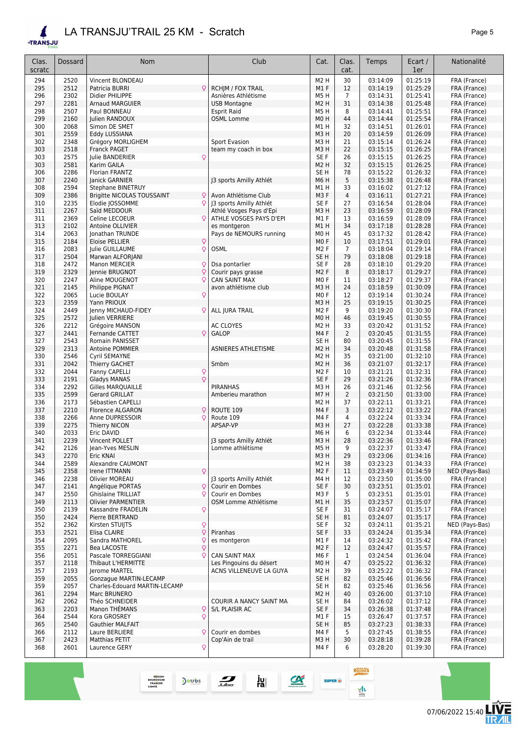### *LA TRANSJU'TRAIL 25 KM - Scratch Page 5*

| Clas.<br>scratc | Dossard      | <b>Nom</b>                                      | Club                                      | Cat.                     | Clas.<br>cat.  | Temps                | Ecart /<br>1er       | Nationalité                  |
|-----------------|--------------|-------------------------------------------------|-------------------------------------------|--------------------------|----------------|----------------------|----------------------|------------------------------|
| 294             | 2520         | Vincent BLONDEAU                                |                                           | M <sub>2</sub> H         | 30             | 03:14:09             | 01:25:19             | FRA (France)                 |
| 295             | 2512         | Patricia BURRI                                  | Q<br><b>RCHJM / FOX TRAIL</b>             | M1F                      | 12             | 03:14:19             | 01:25:29             | FRA (France)                 |
| 296             | 2302         | Didier PHILIPPE                                 | Asnières Athlétisme                       | M5H                      | $\overline{7}$ | 03:14:31             | 01:25:41             | FRA (France)                 |
| 297             | 2281         | <b>Arnaud MARGUIER</b>                          | <b>USB Montagne</b>                       | M2 H                     | 31             | 03:14:38             | 01:25:48             | FRA (France)                 |
| 298             | 2507         | Paul BONNEAU                                    | <b>Esprit Raid</b>                        | M5H                      | 8              | 03:14:41             | 01:25:51             | FRA (France)                 |
| 299             | 2160         | Julien RANDOUX                                  | <b>OSML Lomme</b>                         | M0H                      | 44             | 03:14:44             | 01:25:54             | FRA (France)                 |
| 300             | 2068         | Simon DE SMET                                   |                                           | M1H                      | 32             | 03:14:51             | 01:26:01             | FRA (France)                 |
| 301             | 2559         | Eddy LUSSIANA                                   |                                           | M3 H                     | 20             | 03:14:59             | 01:26:09             | FRA (France)                 |
| 302             | 2348         | Grégory MORLIGHEM                               | Sport Evasion                             | M3H                      | 21             | 03:15:14             | 01:26:24             | FRA (France)                 |
| 303             | 2518         | <b>Franck PAGET</b>                             | team my coach in box                      | M3 H                     | 22             | 03:15:15             | 01:26:25             | FRA (France)                 |
| 303             | 2575         | Julie BANDERIER                                 | Q                                         | SE F                     | 26             | 03:15:15             | 01:26:25             | FRA (France)                 |
| 303             | 2581         | Karim GAILA                                     |                                           | M <sub>2</sub> H         | 32             | 03:15:15             | 01:26:25             | FRA (France)                 |
| 306             | 2286         | Florian FRANTZ                                  |                                           | SE <sub>H</sub>          | 78             | 03:15:22             | 01:26:32             | FRA (France)                 |
| 307             | 2240         | Janick GARNIER                                  | J3 sports Amilly Athlét                   | M6 H                     | 5              | 03:15:38             | 01:26:48             | FRA (France)                 |
| 308             | 2594         | Stephane BINETRUY                               |                                           | M1 H                     | 33             | 03:16:02             | 01:27:12             | FRA (France)                 |
| 309             | 2386         | Brigitte NICOLAS TOUSSAINT                      | Q<br>Avon Athlétisme Club                 | M3F                      | $\overline{4}$ | 03:16:11             | 01:27:21             | FRA (France)                 |
| 310             | 2235         | Elodie JOSSOMME                                 | J3 sports Amilly Athlét<br>Q              | SE F                     | 27             | 03:16:54             | 01:28:04             | FRA (France)                 |
| 311<br>311      | 2267<br>2369 | Saïd MEDDOUR<br>Celine LECOEUR                  | Athlé Vosges Pays d'Epi<br>Q              | M3H<br>M1 F              | 23<br>13       | 03:16:59<br>03:16:59 | 01:28:09<br>01:28:09 | FRA (France)<br>FRA (France) |
| 313             | 2102         | Antoine OLLIVIER                                | ATHLE VOSGES PAYS D'EPI<br>es montgeron   | M1 H                     | 34             | 03:17:18             | 01:28:28             | FRA (France)                 |
| 314             | 2063         | Jonathan TRUNDE                                 | Pays de NEMOURS running                   | M <sub>0</sub> H         | 45             | 03:17:32             | 01:28:42             | FRA (France)                 |
| 315             | 2184         | Eloise PELLIER                                  | Q                                         | MO <sub>F</sub>          | 10             | 03:17:51             | 01:29:01             | FRA (France)                 |
| 316             | 2083         | Julie GUILLAUME                                 | Q<br><b>OSML</b>                          | M <sub>2</sub> F         | 7              | 03:18:04             | 01:29:14             | FRA (France)                 |
| 317             | 2504         | Marwan ALFORJANI                                |                                           | SE <sub>H</sub>          | 79             | 03:18:08             | 01:29:18             | FRA (France)                 |
| 318             | 2472         | Manon MERCIER                                   | Q<br>Dsa pontarlier                       | SE F                     | 28             | 03:18:10             | 01:29:20             | FRA (France)                 |
| 319             | 2329         | Jennie BRUGNOT                                  | $\mathsf{Q}$<br>Courir pays grasse        | M <sub>2</sub> F         | 8              | 03:18:17             | 01:29:27             | FRA (France)                 |
| 320             | 2247         | Aline MOUGENOT                                  | Q<br><b>CAN SAINT MAX</b>                 | M <sub>0</sub> F         | 11             | 03:18:27             | 01:29:37             | FRA (France)                 |
| 321             | 2145         | Philippe PIGNAT                                 | avon athlétisme club                      | M3H                      | 24             | 03:18:59             | 01:30:09             | FRA (France)                 |
| 322             | 2065         | Lucie BOULAY                                    | Q                                         | M <sub>0</sub> F         | 12             | 03:19:14             | 01:30:24             | FRA (France)                 |
| 323             | 2359         | Yann PRIOUX                                     |                                           | M3H                      | 25             | 03:19:15             | 01:30:25             | FRA (France)                 |
| 324             | 2449         | Jenny MICHAUD-FIDEY                             | ALL JURA TRAIL<br>Q                       | M <sub>2</sub> F         | 9              | 03:19:20             | 01:30:30             | FRA (France)                 |
| 325             | 2572         | Julien VERRIERE                                 |                                           | MO H                     | 46             | 03:19:45             | 01:30:55             | FRA (France)                 |
| 326             | 2212         | Grégoire MANSON                                 | AC CLOYES                                 | M <sub>2</sub> H         | 33             | 03:20:42             | 01:31:52             | FRA (France)                 |
| 327             | 2441         | Fernande CATTET                                 | $\mathsf{Q}$<br><b>GALOP</b>              | M4F                      | $\overline{2}$ | 03:20:45             | 01:31:55             | FRA (France)                 |
| 327             | 2543         | <b>Romain PANISSET</b>                          |                                           | SE <sub>H</sub>          | 80             | 03:20:45             | 01:31:55             | FRA (France)                 |
| 329             | 2313         | <b>Antoine POMMIER</b>                          | <b>ASNIERES ATHLETISME</b>                | M2 H                     | 34             | 03:20:48             | 01:31:58             | FRA (France)                 |
| 330             | 2546         | Cyril SEMAYNE                                   | Smbm                                      | M <sub>2</sub> H<br>M2 H | 35             | 03:21:00             | 01:32:10<br>01:32:17 | FRA (France)                 |
| 331<br>332      | 2042<br>2044 | Thierry GACHET<br>Fanny CAPELLI                 |                                           | M <sub>2</sub> F         | 36<br>10       | 03:21:07<br>03:21:21 | 01:32:31             | FRA (France)<br>FRA (France) |
| 333             | 2191         | Gladys MANAS                                    | $\mathsf{Q}$<br>$\overline{Q}$            | SE F                     | 29             | 03:21:26             | 01:32:36             | FRA (France)                 |
| 334             | 2292         | <b>Gilles MARQUAILLE</b>                        | <b>PIRANHAS</b>                           | МЗ Н                     | 26             | 03:21:46             | 01:32:56             | FRA (France)                 |
| 335             | 2599         | <b>Gerard GRILLAT</b>                           | Amberieu marathon                         | M7H                      | 2              | 03:21:50             | 01:33:00             | FRA (France)                 |
| 336             | 2173         | Sébastien CAPELLI                               |                                           | M2 H                     | 37             | 03:22:11             | 01:33:21             | FRA (France)                 |
| 337             | 2210         | <b>Florence ALGARON</b>                         | Q<br>ROUTE 109                            | M4F                      | 3              | 03:22:12             | 01:33:22             | FRA (France)                 |
| 338             | 2266         | Anne DUPRESSOIR                                 | Q<br>Route 109                            | M4F                      | 4              | 03:22:24             | 01:33:34             | FRA (France)                 |
| 339             | 2275         | Thierry NICON                                   | APSAP-VP                                  | M3H                      | 27             | 03:22:28             | 01:33:38             | FRA (France)                 |
| 340             | 2033         | Eric DAVID                                      |                                           | M6H                      | 6              | 03:22:34             | 01:33:44             | FRA (France)                 |
| 341             | 2239         | Vincent POLLET                                  | J3 sports Amilly Athlét                   | M3H                      | 28             | 03:22:36             | 01:33:46             | FRA (France)                 |
| 342             | 2126         | Jean-Yves MESLIN                                | Lomme athlétisme                          | M5H                      | 9              | 03:22:37             | 01:33:47             | FRA (France)                 |
| 343             | 2270         | Eric KNAI                                       |                                           | M3H                      | 29             | 03:23:06             | 01:34:16             | FRA (France)                 |
| 344             | 2589         | Alexandre CAUMONT                               |                                           | M <sub>2</sub> H         | 38             | 03:23:23             | 01:34:33             | FRA (France)                 |
| 345             | 2358         | Irene ITTMANN                                   | Q                                         | M <sub>2</sub> F         | 11             | 03:23:49             | 01:34:59             | NED (Pays-Bas)               |
| 346             | 2238         | Olivier MOREAU                                  | J3 sports Amilly Athlét                   | M4H                      | 12             | 03:23:50             | 01:35:00             | FRA (France)                 |
| 347             | 2141         | Angélique PORTAS<br><b>Ghislaine TRILLIAT</b>   | Courir en Dombes<br>Q<br>Courir en Dombes | SE F                     | 30             | 03:23:51             | 01:35:01             | FRA (France)                 |
| 347             | 2550         |                                                 | Q                                         | M3F                      | 5              | 03:23:51             | 01:35:01             | FRA (France)                 |
| 349<br>350      | 2113<br>2139 | <b>Olivier PARMENTIER</b><br>Kassandre FRADELIN | OSM Lomme Athlétisme<br>Q                 | M1 H<br>SE F             | 35<br>31       | 03:23:57<br>03:24:07 | 01:35:07<br>01:35:17 | FRA (France)<br>FRA (France) |
| 350             | 2424         | Pierre BERTRAND                                 |                                           | SE H                     | 81             | 03:24:07             | 01:35:17             | FRA (France)                 |
| 352             | 2362         | Kirsten STUIJTS                                 | Q                                         | SE F                     | 32             | 03:24:11             | 01:35:21             | NED (Pays-Bas)               |
| 353             | 2521         | Elisa CLAIRE                                    | $\overline{Q}$<br>Piranhas                | SE F                     | 33             | 03:24:24             | 01:35:34             | FRA (France)                 |
| 354             | 2095         | Sandra MATHOREL                                 | Q<br>es montgeron                         | M1 F                     | 14             | 03:24:32             | 01:35:42             | FRA (France)                 |
| 355             | 2271         | Bea LACOSTE                                     | $\hbox{\large\textsf{Q}}$                 | M <sub>2</sub> F         | 12             | 03:24:47             | 01:35:57             | FRA (France)                 |
| 356             | 2051         | Pascale TORREGGIANI                             | Q<br><b>CAN SAINT MAX</b>                 | M6F                      | $\mathbf{1}$   | 03:24:54             | 01:36:04             | FRA (France)                 |
| 357             | 2118         | Thibaut L'HERMITTE                              | Les Pingouins du désert                   | M <sub>0</sub> H         | 47             | 03:25:22             | 01:36:32             | FRA (France)                 |
| 357             | 2193         | Jerome MARTEL                                   | ACNS VILLENEUVE LA GUYA                   | M <sub>2</sub> H         | 39             | 03:25:22             | 01:36:32             | FRA (France)                 |
| 359             | 2055         | Gonzague MARTIN-LECAMP                          |                                           | SE H                     | 82             | 03:25:46             | 01:36:56             | FRA (France)                 |

 2057 Charles-Edouard MARTIN-LECAMP SE H 82 03:25:46 01:36:56 FRA (France) 361 2294 Marc BRUNERO (COURIR A NANCY SAINT MANNET BE H 84 03:26:00 01:37:10 FRA (France) 362 2062 Théo SCHNEIDER (FRANCE COURIR A NANCY SAINT MA 362 2062 Théo SCHNEIDER COURIR A NANCY SAINT MA SE H 84 03:26:02 01:37:12 FRA (France)<br>363 2203 Manon THÉMANS Q S/L PLAISIR AC SE F 34 03:26:38 01:37:48 FRA (France) 2203 Manon THÉMANS *♀* S/L PLAISIR AC SE F 34 03:26:38 01:37:48 FRA (France) 2544 Kora GROSREY *♀* M1 F 15 03:26:47 01:37:57 FRA (France) 2540 Gauthier MALFAIT SE H 85 03:27:23 01:38:33 FRA (France) 1366 2112 Laure BERLIERE 
<sup>2</sup> Courir en dombes M4 F 5 03:27:45 01:38:55 FRA (France)<br>
2423 Matthias PETIT Cop'Ain de trail M3 H 30 03:28:18 01:39:28 FRA (France) 2423 Matthias PETIT Cop'Ain de trail M3 H 30 03:28:18 01:39:28 FRA (France) 2601 Laurence GERY *♀* M4 F 6 03:28:20 01:39:30 FRA (France)

ju<br>ra

 $\alpha$ 

 $\frac{1}{\sqrt{2}}$ 

Doubs

REGION<br>BOURGOGNE<br>FRANCHE<br>COMTE

/E

**ROUSSES** 

 $M$ 

**SUPER** (i)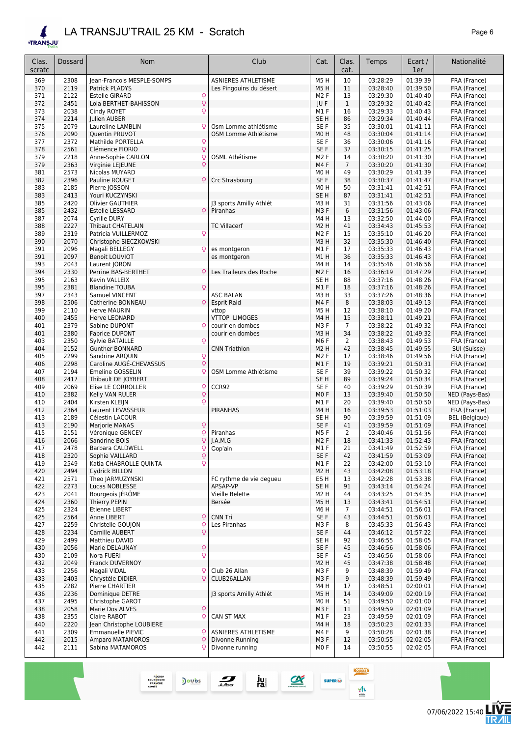**ETRANSJU** 

Clas. scratc

| <b>RANSJU</b>  |         | LA TRANSJU'TRAIL 25 KM - Scratch        |                            |                  |                |          |                | Page 6         |
|----------------|---------|-----------------------------------------|----------------------------|------------------|----------------|----------|----------------|----------------|
| Clas.<br>cratc | Dossard | <b>Nom</b>                              | Club                       | Cat.             | Clas.<br>cat.  | Temps    | Ecart /<br>1er | Nationalité    |
| 369            | 2308    | Jean-Francois MESPLE-SOMPS              | <b>ASNIERES ATHLETISME</b> | M5H              | 10             | 03:28:29 | 01:39:39       | FRA (France)   |
| 370            | 2119    | Patrick PLADYS                          | Les Pingouins du désert    | M5H              | 11             | 03:28:40 | 01:39:50       | FRA (France)   |
| 371            | 2122    | <b>Estelle GIRARD</b><br>$\mathsf{Q}$   |                            | M <sub>2</sub> F | 13             | 03:29:30 | 01:40:40       | FRA (France)   |
| 372            | 2451    | $\overline{Q}$<br>Lola BERTHET-BAHISSON |                            | JU F             | $\mathbf{1}$   | 03:29:32 | 01:40:42       | FRA (France)   |
| 373            | 2038    | Q<br>Cindy ROYET                        |                            | M1F              | 16             | 03:29:33 | 01:40:43       | FRA (France)   |
| 374            | 2214    | Julien AUBER                            |                            | SE <sub>H</sub>  | 86             | 03:29:34 | 01:40:44       | FRA (France)   |
| 375            | 2079    | Q<br>Laureline LAMBLIN                  | Osm Lomme athlétisme       | SE F             | 35             | 03:30:01 | 01:41:11       | FRA (France)   |
| 376            | 2090    | Quentin PRUVOT                          | OSM Lomme Athlétisme       | MO H             | 48             | 03:30:04 | 01:41:14       | FRA (France)   |
| 377            | 2372    | Mathilde PORTELLA<br>$\mathsf{Q}$       |                            | SE F             | 36             | 03:30:06 | 01:41:16       | FRA (France)   |
| 378            | 2561    | $\mathsf{Q}$<br>Clémence FIORIO         |                            | SE F             | 37             | 03:30:15 | 01:41:25       | FRA (France)   |
| 379            | 2218    | Anne-Sophie CARLON<br>$\mathsf{Q}$      | OSML Athétisme             | M <sub>2</sub> F | 14             | 03:30:20 | 01:41:30       | FRA (France)   |
| 379            | 2363    | $\mathsf{Q}$<br>Virginie LEJEUNE        |                            | M4F              | $\overline{7}$ | 03:30:20 | 01:41:30       | FRA (France)   |
| 381            | 2573    | Nicolas MUYARD                          |                            | MO H             | 49             | 03:30:29 | 01:41:39       | FRA (France)   |
| 382            | 2396    | Pauline ROUGET<br>$\mathsf{Q}$          | Crc Strasbourg             | SE F             | 38             | 03:30:37 | 01:41:47       | FRA (France)   |
| 383            | 2185    | Pierre JOSSON                           |                            | MO H             | 50             | 03:31:41 | 01:42:51       | FRA (France)   |
| 383            | 2413    | Youri KUCZYNSKI                         |                            | SE <sub>H</sub>  | 87             | 03:31:41 | 01:42:51       | FRA (France)   |
| 385            | 2420    | <b>Olivier GAUTHIER</b>                 | 13 sports Amilly Athlét    | МЗ Н             | 31             | 03:31:56 | 01:43:06       | FRA (France)   |
| 385            | 2432    | $\mathsf{Q}$<br>Estelle LESSARD         | Piranhas                   | M <sub>3</sub> F | 6              | 03:31:56 | 01:43:06       | FRA (France)   |
| 387            | 2074    | Cyrille DURY                            |                            | M4H              | 13             | 03:32:50 | 01:44:00       | FRA (France)   |
| 388            | 2227    | <b>Thibaut CHATELAIN</b>                | <b>TC Villacerf</b>        | M2 H             | 41             | 03:34:43 | 01:45:53       | FRA (France)   |
| 389            | 2319    | Patricia VUILLERMOZ<br>$\mathsf{Q}$     |                            | M <sub>2</sub> F | 15             | 03:35:10 | 01:46:20       | FRA (France)   |
| 390            | 2070    | Christophe SIECZKOWSKI                  |                            | M3 H             | 32             | 03:35:30 | 01:46:40       | FRA (France)   |
| 391            | 2096    | Magali BELLEGY<br>$\mathsf{Q}$          | es montgeron               | M1F              | 17             | 03:35:33 | 01:46:43       | FRA (France)   |
| 391            | 2097    | <b>Benoit LOUVIOT</b>                   | es montgeron               | M1 H             | 36             | 03:35:33 | 01:46:43       | FRA (France)   |
| 393            | 2043    | Laurent JORON                           |                            | M4H              | 14             | 03:35:46 | 01:46:56       | FRA (France)   |
| 394            | 2330    | Perrine BAS-BERTHET<br>Q                | Les Traileurs des Roche    | M <sub>2</sub> F | 16             | 03:36:19 | 01:47:29       | FRA (France)   |
| 395            | 2163    | Kevin VALLEIX                           |                            | SE H             | 88             | 03:37:16 | 01:48:26       | FRA (France)   |
| 395            | 2381    | $\mathsf{Q}$<br><b>Blandine TOUBA</b>   |                            | M1F              | 18             | 03:37:16 | 01:48:26       | FRA (France)   |
| 397            | 2343    | Samuel VINCENT                          | <b>ASC BALAN</b>           | МЗ Н             | 33             | 03:37:26 | 01:48:36       | FRA (France)   |
| 398            | 2506    | $\mathsf{Q}$<br>Catherine BONNEAU       | <b>Esprit Raid</b>         | M4F              | 8              | 03:38:03 | 01:49:13       | FRA (France)   |
| 399            | 2110    | <b>Herve MAURIN</b>                     | vttop                      | M5H              | 12             | 03:38:10 | 01:49:20       | FRA (France)   |
| 400            | 2455    | Herve LEONARD                           | <b>VTTOP LIMOGES</b>       | M4H              | 15             | 03:38:11 | 01:49:21       | FRA (France)   |
| 401            | 2379    | Sabine DUPONT                           | courir en dombes           | M3F              | $\overline{7}$ | 03:38:22 | 01:49:32       | FRA (France)   |
| 401            | 2380    | <b>Fabrice DUPONT</b>                   | courir en dombes           | M3H              | 34             | 03:38:22 | 01:49:32       | FRA (France)   |
| 403            | 2350    | Sylvie BATAILLE<br>Q                    |                            | M <sub>6</sub> F | 2              | 03:38:43 | 01:49:53       | FRA (France)   |
| 404            | 2152    | <b>Gunther BONNARD</b>                  | <b>CNN Triathlon</b>       | M2 H             | 42             | 03:38:45 | 01:49:55       | SUI (Suisse)   |
| 405            | 2299    | Sandrine ARQUIN<br>Q                    |                            | M <sub>2</sub> F | 17             | 03:38:46 | 01:49:56       | FRA (France)   |
| 406            | 2298    | $\mathsf{Q}$<br>Caroline AUGÉ-CHEVASSUS |                            | M1F              | 19             | 03:39:21 | 01:50:31       | FRA (France)   |
| 407            | 2194    | Q<br>Emeline GOSSELIN                   | OSM Lomme Athlétisme       | SE F             | 39             | 03:39:22 | 01:50:32       | FRA (France)   |
| 408            | 2417    | Thibault DE JOYBERT                     |                            | SE <sub>H</sub>  | 89             | 03:39:24 | 01:50:34       | FRA (France)   |
| 409            | 2069    | $\mathsf{Q}$<br>Elise LE CORROLLER      | CCR92                      | SE F             | 40             | 03:39:29 | 01:50:39       | FRA (France)   |
| 410            | 2382    | $\overline{Q}$<br>Kelly VAN RULER       |                            | M <sub>0</sub> F | 13             | 03:39:40 | 01:50:50       | NED (Pays-Bas) |

| 397 | 2343 | Samuel VINCENT                            | <b>ASC BALAN</b>        | M3H              | 33             | 03:37:26       | 01:48:36 | FRA (France)          |
|-----|------|-------------------------------------------|-------------------------|------------------|----------------|----------------|----------|-----------------------|
| 398 | 2506 | Catherine BONNEAU<br>Q                    | <b>Esprit Raid</b>      | M4F              | 8              | 03:38:03       | 01:49:13 | FRA (France)          |
| 399 | 2110 | <b>Herve MAURIN</b>                       | vttop                   | M5H              | 12             | 03:38:10       | 01:49:20 | FRA (France)          |
| 400 | 2455 | Herve LEONARD                             | <b>VTTOP LIMOGES</b>    | M4H              | 15             | 03:38:11       | 01:49:21 | FRA (France)          |
| 401 | 2379 | Sabine DUPONT<br>Q                        | courir en dombes        | M3F              | $\overline{7}$ | 03:38:22       | 01:49:32 | FRA (France)          |
| 401 | 2380 | <b>Fabrice DUPONT</b>                     | courir en dombes        | M <sub>3</sub> H | 34             | 03:38:22       | 01:49:32 | FRA (France)          |
| 403 | 2350 | Sylvie BATAILLE<br>Q                      |                         | M6F              | 2              | 03:38:43       | 01:49:53 | FRA (France)          |
| 404 | 2152 | <b>Gunther BONNARD</b>                    | <b>CNN Triathlon</b>    | <b>M2H</b>       | 42             | 03:38:45       | 01:49:55 | SUI (Suisse)          |
| 405 | 2299 | Sandrine ARQUIN<br>Q                      |                         | M <sub>2</sub> F | 17             | 03:38:46       | 01:49:56 | FRA (France)          |
| 406 | 2298 | $\overline{Q}$<br>Caroline AUGE-CHEVASSUS |                         | M1F              | 19             | 03:39:21       | 01:50:31 | FRA (France)          |
| 407 | 2194 | Q<br>Emeline GOSSELIN                     | OSM Lomme Athlétisme    | SE F             | 39             | 03:39:22       | 01:50:32 | FRA (France)          |
| 408 | 2417 | Thibault DE JOYBERT                       |                         | SE <sub>H</sub>  | 89             | 03:39:24       | 01:50:34 | FRA (France)          |
| 409 | 2069 | Elise LE CORROLLER<br>Q                   | CCR92                   | SE F             | 40             | 03:39:29       | 01:50:39 | FRA (France)          |
| 410 | 2382 | Q<br>Kelly VAN RULER                      |                         | M <sub>0</sub> F | 13             | 03:39:40       | 01:50:50 | NED (Pays-Bas)        |
| 410 | 2404 | Q<br>Kirsten KLEIJN                       |                         | M1F              | 20             | 03:39:40       | 01:50:50 | NED (Pays-Bas)        |
| 412 | 2364 | Laurent LEVASSEUR                         | <b>PIRANHAS</b>         | M4H              | 16             | 03:39:53       | 01:51:03 | FRA (France)          |
| 413 | 2189 | Célestin LACOUR                           |                         | SE <sub>H</sub>  | 90             | 03:39:59       | 01:51:09 | <b>BEL</b> (Belgique) |
| 413 | 2190 | Marjorie MANAS<br>Q                       |                         | SE F             | 41             | 03:39:59       | 01:51:09 | FRA (France)          |
| 415 | 2151 | Q<br>Véronique GENCEY                     | Piranhas                | M5F              | 2              | 03:40:46       | 01:51:56 | FRA (France)          |
| 416 | 2066 | Q<br>Sandrine BOIS                        | I.A.M.G                 | M <sub>2</sub> F | 18             | 03:41:33       | 01:52:43 | FRA (France)          |
| 417 | 2478 | Barbara CALDWELL<br>Q                     | Cop'ain                 | M1F              | 21             | 03:41:49       | 01:52:59 | FRA (France)          |
| 418 | 2320 | Q<br>Sophie VAILLARD                      |                         | SE F             | 42             | 03:41:59       | 01:53:09 | FRA (France)          |
| 419 | 2549 | Q<br>Katia CHABROLLE QUINTA               |                         | M1F              | 22             | 03:42:00       | 01:53:10 | FRA (France)          |
| 420 | 2494 | <b>Cydrick BILLON</b>                     |                         | M <sub>2</sub> H | 43             | 03:42:08       | 01:53:18 | FRA (France)          |
| 421 | 2571 | Theo JARMUZYNSKI                          | FC rythme de vie dequeu | ES <sub>H</sub>  | 13             | 03:42:28       | 01:53:38 | FRA (France)          |
| 422 | 2273 | Lucas NOBLESSE                            | APSAP-VP                | SE <sub>H</sub>  | 91             | 03:43:14       | 01:54:24 | FRA (France)          |
| 423 | 2041 | Bourgeois JÉRÔME                          | Vieille Belette         | M2 H             | 44             | 03:43:25       | 01:54:35 | FRA (France)          |
| 424 | 2360 | Thierry PEPIN                             | Bersée                  | M5 H             | 13             | 03:43:41       | 01:54:51 | FRA (France)          |
| 425 | 2324 | Etienne LIBERT                            |                         | M6 H             | $\overline{7}$ | 03:44:51       | 01:56:01 | FRA (France)          |
| 425 | 2564 | Anne LIBERT<br>Q                          | <b>CNN Tri</b>          | SE F             | 43             | 03:44:51       | 01:56:01 | FRA (France)          |
| 427 | 2259 | Christelle GOUJON<br>Q                    | Les Piranhas            | M3F              | 8              | 03:45:33       | 01:56:43 | FRA (France)          |
| 428 | 2234 | Q<br>Camille AUBERT                       |                         | SE F             | 44             | 03:46:12       | 01:57:22 | FRA (France)          |
| 429 | 2499 | Matthieu DAVID                            |                         | SE <sub>H</sub>  | 92             | 03:46:55       | 01:58:05 | FRA (France)          |
| 430 | 2056 | Q<br>Marie DELAUNAY                       |                         | SE F             | 45             | 03:46:56       | 01:58:06 | FRA (France)          |
| 430 | 2109 | Q<br>Nora FUERI                           |                         | SE F             | 45             | 03:46:56       | 01:58:06 | FRA (France)          |
| 432 | 2049 | Franck DUVERNOY                           |                         | M2 H             | 45             | 03:47:38       | 01:58:48 | FRA (France)          |
| 433 | 2256 | Q<br>Magali VIDAL                         | Club 26 Allan           | M3F              | 9              | 03:48:39       | 01:59:49 | FRA (France)          |
| 433 | 2403 | Q<br>Chrystèle DIDIER                     | CLUB26ALLAN             | M3F              | 9              | 03:48:39       | 01:59:49 | FRA (France)          |
| 435 | 2282 | Pierre CHARTIER                           |                         | M4H              | 17             | 03:48:51       | 02:00:01 | FRA (France)          |
| 436 | 2236 | Dominique DETRE                           | J3 sports Amilly Athlét | M5H              | 14             | 03:49:09       | 02:00:19 | FRA (France)          |
| 437 | 2495 | Christophe GAROT                          |                         | M <sub>0</sub> H | 51             | 03:49:50       | 02:01:00 | FRA (France)          |
| 438 | 2058 | Marie Dos ALVES<br>Q                      |                         | M3F              | 11             | 03:49:59       | 02:01:09 | FRA (France)          |
| 438 | 2355 | Q<br>Claire RABOT                         | <b>CAN ST MAX</b>       | M1F              | 23             | 03:49:59       | 02:01:09 | FRA (France)          |
| 440 | 2220 | Jean Christophe LOUBIERE                  |                         | M4H              | 18             | 03:50:23       | 02:01:33 | FRA (France)          |
| 441 | 2309 | <b>Emmanuelle PIEVIC</b><br>Q             | ASNIERES ATHLETISME     | M4F              | 9              | 03:50:28       | 02:01:38 | FRA (France)          |
| 442 | 2015 | Q<br>Amparo MATAMOROS                     | Divonne Running         | M3F              | 12             | 03:50:55       | 02:02:05 | FRA (France)          |
| 442 | 2111 | Sabina MATAMOROS<br>Q                     | Divonne running         | M <sub>0</sub> F | 14             | 03:50:55       | 02:02:05 | FRA (France)          |
|     |      |                                           |                         |                  |                | <b>ROUSSES</b> |          |                       |

 $\sum$ 

**SUPER**<sup>(i)</sup>

 $\frac{1}{\sinh}$ 

 $\frac{1}{\sqrt{2}}$ 

Doubs

ju<br>ra

REGION<br>BOURGOGNE<br>FRANCHE<br>COMTE